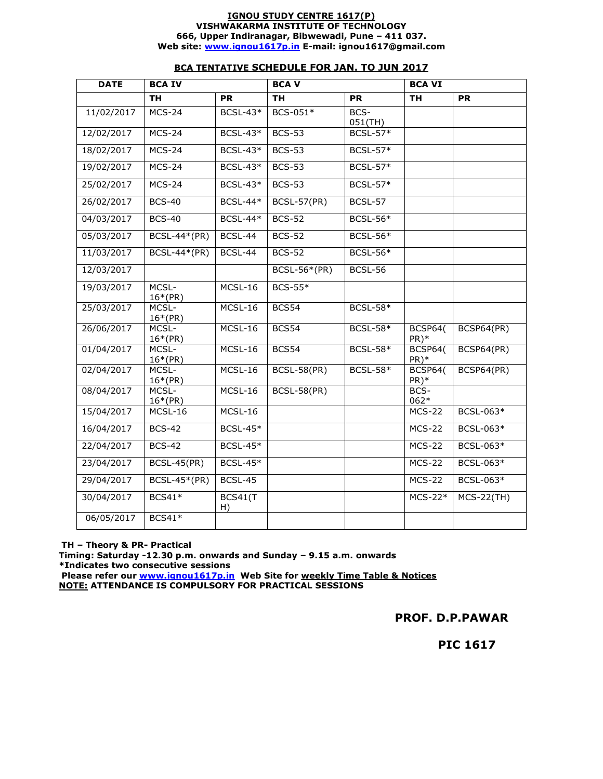#### **IGNOU STUDY CENTRE 1617(P) VISHWAKARMA INSTITUTE OF TECHNOLOGY 666, Upper Indiranagar, Bibwewadi, Pune – 411 037. Web site: www.ignou1617p.in E-mail: ignou1617@gmail.com**

| <b>DATE</b> | <b>BCA IV</b>       |                 | <b>BCAV</b>         |                 | <b>BCA VI</b>            |              |
|-------------|---------------------|-----------------|---------------------|-----------------|--------------------------|--------------|
|             | <b>TH</b>           | PR              | <b>TH</b>           | <b>PR</b>       | <b>TH</b>                | <b>PR</b>    |
| 11/02/2017  | $MCS-24$            | <b>BCSL-43*</b> | BCS-051*            | BCS-<br>051(TH) |                          |              |
| 12/02/2017  | $MCS-24$            | <b>BCSL-43*</b> | <b>BCS-53</b>       | <b>BCSL-57*</b> |                          |              |
| 18/02/2017  | $MCS-24$            | $BCSL-43*$      | <b>BCS-53</b>       | <b>BCSL-57*</b> |                          |              |
| 19/02/2017  | $MCS-24$            | $BCSL-43*$      | <b>BCS-53</b>       | <b>BCSL-57*</b> |                          |              |
| 25/02/2017  | $MCS-24$            | $BCSL-43*$      | <b>BCS-53</b>       | <b>BCSL-57*</b> |                          |              |
| 26/02/2017  | <b>BCS-40</b>       | BCSL-44*        | <b>BCSL-57(PR)</b>  | BCSL-57         |                          |              |
| 04/03/2017  | <b>BCS-40</b>       | <b>BCSL-44*</b> | <b>BCS-52</b>       | <b>BCSL-56*</b> |                          |              |
| 05/03/2017  | <b>BCSL-44*(PR)</b> | BCSL-44         | <b>BCS-52</b>       | <b>BCSL-56*</b> |                          |              |
| 11/03/2017  | BCSL-44*(PR)        | BCSL-44         | <b>BCS-52</b>       | $BCSL-56*$      |                          |              |
| 12/03/2017  |                     |                 | <b>BCSL-56*(PR)</b> | BCSL-56         |                          |              |
| 19/03/2017  | MCSL-<br>$16*(PR)$  | $MCSL-16$       | <b>BCS-55*</b>      |                 |                          |              |
| 25/03/2017  | MCSL-<br>$16*(PR)$  | $MCSL-16$       | BCS54               | <b>BCSL-58*</b> |                          |              |
| 26/06/2017  | MCSL-<br>$16*(PR)$  | MCSL-16         | BCS54               | <b>BCSL-58*</b> | <b>BCSP64(</b><br>$PR)*$ | BCSP64(PR)   |
| 01/04/2017  | MCSL-<br>$16*(PR)$  | MCSL-16         | BCS54               | <b>BCSL-58*</b> | BCSP64(<br>PR)*          | BCSP64(PR)   |
| 02/04/2017  | MCSL-<br>$16*(PR)$  | MCSL-16         | <b>BCSL-58(PR)</b>  | <b>BCSL-58*</b> | <b>BCSP64(</b><br>$PR)*$ | BCSP64(PR)   |
| 08/04/2017  | MCSL-<br>$16*(PR)$  | MCSL-16         | <b>BCSL-58(PR)</b>  |                 | BCS-<br>062*             |              |
| 15/04/2017  | MCSL-16             | MCSL-16         |                     |                 | <b>MCS-22</b>            | BCSL-063*    |
| 16/04/2017  | <b>BCS-42</b>       | $BCSL-45*$      |                     |                 | <b>MCS-22</b>            | BCSL-063*    |
| 22/04/2017  | <b>BCS-42</b>       | <b>BCSL-45*</b> |                     |                 | <b>MCS-22</b>            | BCSL-063*    |
| 23/04/2017  | $BCSL-45(PR)$       | $BCSL-45*$      |                     |                 | <b>MCS-22</b>            | BCSL-063*    |
| 29/04/2017  | BCSL-45*(PR)        | BCSL-45         |                     |                 | <b>MCS-22</b>            | BCSL-063*    |
| 30/04/2017  | $BCS41*$            | BCS41(T<br>H)   |                     |                 | $MCS-22*$                | $MCS-22(TH)$ |
| 06/05/2017  | $BCS41*$            |                 |                     |                 |                          |              |

### **BCA TENTATIVE SCHEDULE FOR JAN. TO JUN 2017**

 **TH – Theory & PR- Practical** 

**Timing: Saturday -12.30 p.m. onwards and Sunday – 9.15 a.m. onwards \*Indicates two consecutive sessions** 

 **Please refer our www.ignou1617p.in Web Site for weekly Time Table & Notices NOTE: ATTENDANCE IS COMPULSORY FOR PRACTICAL SESSIONS** 

**PROF. D.P.PAWAR** 

 **PIC 1617**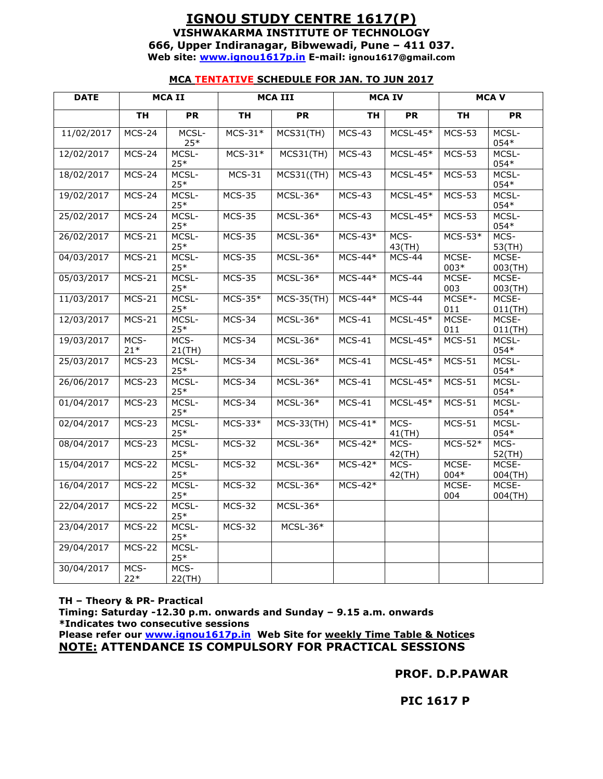### **IGNOU STUDY CENTRE 1617(P) VISHWAKARMA INSTITUTE OF TECHNOLOGY 666, Upper Indiranagar, Bibwewadi, Pune – 411 037. Web site: www.ignou1617p.in E-mail: ignou1617@gmail.com**

### **MCA TENTATIVE SCHEDULE FOR JAN. TO JUN 2017**

| <b>DATE</b> |                     | <b>MCAII</b><br><b>MCA III</b><br><b>MCA IV</b> |               |                   | <b>MCAV</b>   |                   |               |                     |
|-------------|---------------------|-------------------------------------------------|---------------|-------------------|---------------|-------------------|---------------|---------------------|
|             | <b>TH</b>           | PR                                              | <b>TH</b>     | PR                | <b>TH</b>     | PR                | <b>TH</b>     | PR                  |
| 11/02/2017  | $MCS-24$            | MCSL-<br>$25*$                                  | $MCS-31*$     | $MCS31$ (TH)      | $MCS-43$      | $MCSL-45*$        | <b>MCS-53</b> | MCSL-<br>$054*$     |
| 12/02/2017  | <b>MCS-24</b>       | MCSL-<br>$25*$                                  | $MCS-31*$     | MCS31(TH)         | $MCS-43$      | $MCSL-45*$        | <b>MCS-53</b> | MCSL-<br>054*       |
| 18/02/2017  | $MCS-24$            | MCSL-<br>$25*$                                  | $MCS-31$      | MCS31((TH)        | $MCS-43$      | $MCSL-45*$        | <b>MCS-53</b> | MCSL-<br>054*       |
| 19/02/2017  | $MCS-24$            | MCSL-<br>$25*$                                  | <b>MCS-35</b> | MCSL-36*          | <b>MCS-43</b> | $MCSL-45*$        | <b>MCS-53</b> | MCSL-<br>$054*$     |
| 25/02/2017  | $MCS-24$            | MCSL-<br>$25*$                                  | $MCS-35$      | $MCSL-36*$        | $MCS-43$      | $MCSL-45*$        | <b>MCS-53</b> | MCSL-<br>054*       |
| 26/02/2017  | $MCS-21$            | MCSL-<br>$25*$                                  | <b>MCS-35</b> | $MCSL-36*$        | $MCS-43*$     | MCS-<br>43(TH)    | $MCS-53*$     | MCS-<br>53(TH)      |
| 04/03/2017  | $MCS-21$            | MCSL-<br>$25*$                                  | $MCS-35$      | $MCSL-36*$        | $MCS-44*$     | MCS-44            | MCSE-<br>003* | MCSE-<br>003(TH)    |
| 05/03/2017  | $MCS-21$            | MCSL-<br>$25*$                                  | <b>MCS-35</b> | MCSL-36*          | $MCS-44*$     | MCS-44            | MCSE-<br>003  | MCSE-<br>003(TH)    |
| 11/03/2017  | $MCS-21$            | MCSL-<br>$25*$                                  | $MCS-35*$     | $MCS-35(TH)$      | $MCS-44*$     | $MCS-44$          | MCSE*-<br>011 | MCSE-<br>$011$ (TH) |
| 12/03/2017  | $MCS-21$            | MCSL-<br>$25*$                                  | $MCS-34$      | $MCSL-36*$        | $MCS-41$      | $MCSL-45*$        | MCSE-<br>011  | MCSE-<br>$011$ (TH) |
| 19/03/2017  | MCS-<br>$21*$       | MCS-<br>$21$ (TH)                               | MCS-34        | $MCSL-36*$        | $MCS-41$      | $MCSL-45*$        | $MCS-51$      | MCSL-<br>054*       |
| 25/03/2017  | <b>MCS-23</b>       | MCSL-<br>$25*$                                  | MCS-34        | $MCSL-36*$        | $MCS-41$      | $MCSL-45*$        | $MCS-51$      | MCSL-<br>$054*$     |
| 26/06/2017  | <b>MCS-23</b>       | MCSL-<br>$25*$                                  | MCS-34        | $MCSL-36*$        | $MCS-41$      | $MCSL-45*$        | $MCS-51$      | MCSL-<br>054*       |
| 01/04/2017  | <b>MCS-23</b>       | MCSL-<br>$25*$                                  | MCS-34        | $MCSL-36*$        | $MCS-41$      | $MCSL-45*$        | $MCS-51$      | MCSL-<br>$054*$     |
| 02/04/2017  | <b>MCS-23</b>       | MCSL-<br>$25*$                                  | $MCS-33*$     | <b>MCS-33(TH)</b> | $MCS-41*$     | MCS-<br>$41$ (TH) | $MCS-51$      | MCSL-<br>054*       |
| 08/04/2017  | $MCS-23$            | MCSL-<br>$25*$                                  | <b>MCS-32</b> | $MCSL-36*$        | $MCS-42*$     | MCS-<br>42(TH)    | $MCS-52*$     | MCS-<br>52(TH)      |
| 15/04/2017  | $MCS-22$            | MCSL-<br>$25*$                                  | <b>MCS-32</b> | $MCSL-36*$        | $MCS-42*$     | MCS-<br>42(TH)    | MCSE-<br>004* | MCSE-<br>$004$ (TH) |
| 16/04/2017  | <b>MCS-22</b>       | MCSL-<br>$25*$                                  | <b>MCS-32</b> | MCSL-36*          | $MCS-42*$     |                   | MCSE-<br>004  | MCSE-<br>$004$ (TH) |
| 22/04/2017  | <b>MCS-22</b>       | MCSL-<br>$25*$                                  | <b>MCS-32</b> | $MCSL-36*$        |               |                   |               |                     |
| 23/04/2017  | $\overline{MCS-22}$ | MCSL-<br>$25*$                                  | <b>MCS-32</b> | $MCSL-36*$        |               |                   |               |                     |
| 29/04/2017  | <b>MCS-22</b>       | MCSL-<br>$25*$                                  |               |                   |               |                   |               |                     |
| 30/04/2017  | MCS-<br>$22*$       | MCS-<br>22(TH)                                  |               |                   |               |                   |               |                     |

**TH – Theory & PR- Practical Timing: Saturday -12.30 p.m. onwards and Sunday – 9.15 a.m. onwards \*Indicates two consecutive sessions Please refer our www.ignou1617p.in Web Site for weekly Time Table & Notices NOTE: ATTENDANCE IS COMPULSORY FOR PRACTICAL SESSIONS** 

**PROF. D.P.PAWAR** 

 **PIC 1617 P**